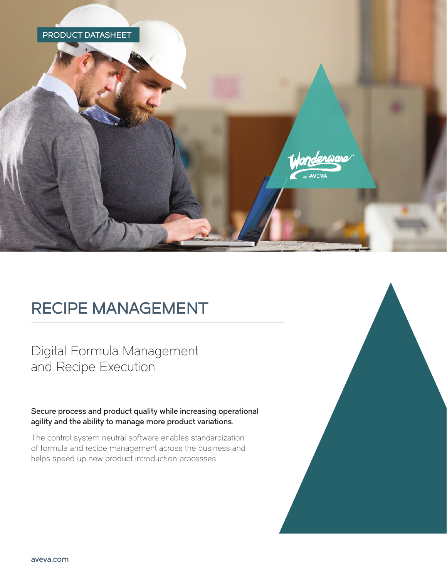

# RECIPE MANAGEMENT

Digital Formula Management and Recipe Execution

Secure process and product quality while increasing operational agility and the ability to manage more product variations.

The control system neutral software enables standardization of formula and recipe management across the business and helps speed up new product introduction processes.

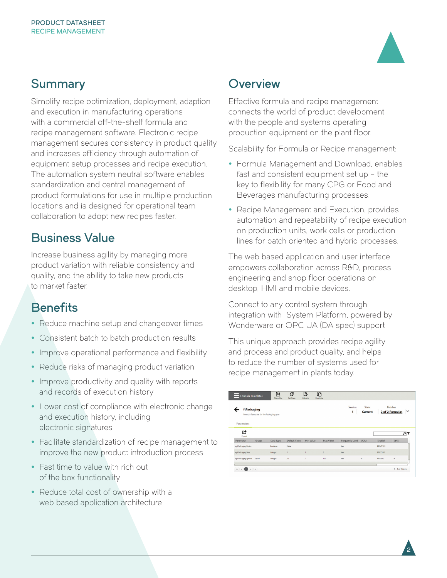### Summary Overview

Simplify recipe optimization, deployment, adaption and execution in manufacturing operations with a commercial off-the-shelf formula and recipe management software. Electronic recipe management secures consistency in product quality and increases efficiency through automation of equipment setup processes and recipe execution. The automation system neutral software enables standardization and central management of product formulations for use in multiple production locations and is designed for operational team collaboration to adopt new recipes faster.

### Business Value

Increase business agility by managing more product variation with reliable consistency and quality, and the ability to take new products to market faster.

### **Benefits**

- Reduce machine setup and changeover times
- Consistent batch to batch production results
- Improve operational performance and flexibility
- Reduce risks of managing product variation
- Improve productivity and quality with reports and records of execution history
- Lower cost of compliance with electronic change and execution history, including electronic signatures
- Facilitate standardization of recipe management to improve the new product introduction process
- Fast time to value with rich out of the box functionality
- Reduce total cost of ownership with a web based application architecture

Effective formula and recipe management connects the world of product development with the people and systems operating production equipment on the plant floor.

Scalability for Formula or Recipe management:

- Formula Management and Download, enables fast and consistent equipment set up – the key to flexibility for many CPG or Food and Beverages manufacturing processes.
- Recipe Management and Execution, provides automation and repeatability of recipe execution on production units, work cells or production lines for batch oriented and hybrid processes.

The web based application and user interface empowers collaboration across R&D, process engineering and shop floor operations on desktop, HMI and mobile devices.

Connect to any control system through integration with System Platform, powered by Wonderware or OPC UA (DA spec) support

This unique approach provides recipe agility and process and product quality, and helps to reduce the number of systems used for recipe management in plants today.

#### $\mathbb{R}$  $\Box$ 色  $\mathbf{f}_{\mathbf{u}}^{\mathbf{u}}$ Formula Template tPackaging 2 of 2 Formulas  $\vert \vee$ Current Parameter ௴  $\overline{\rho}|T$ Parameter Data Type Default Va EngRef epPackagingMair Ealty **FRMT123**  $\begin{picture}(130,10) \put(0,0){\line(1,0){10}} \put(15,0){\line(1,0){10}} \put(15,0){\line(1,0){10}} \put(15,0){\line(1,0){10}} \put(15,0){\line(1,0){10}} \put(15,0){\line(1,0){10}} \put(15,0){\line(1,0){10}} \put(15,0){\line(1,0){10}} \put(15,0){\line(1,0){10}} \put(15,0){\line(1,0){10}} \put(15,0){\line(1,0){10}} \put(15,0){\line($

2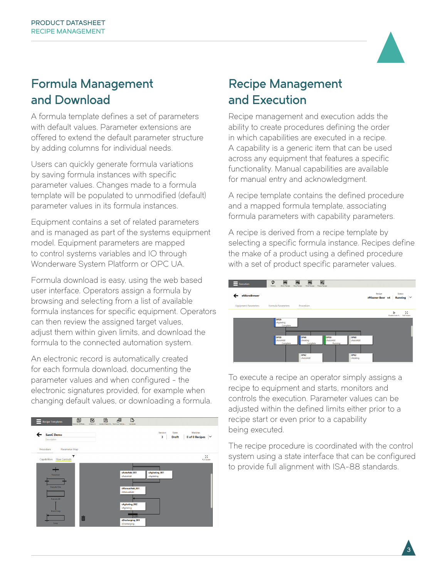

## Formula Management and Download

A formula template defines a set of parameters with default values. Parameter extensions are offered to extend the default parameter structure by adding columns for individual needs.

Users can quickly generate formula variations by saving formula instances with specific parameter values. Changes made to a formula template will be populated to unmodified (default) parameter values in its formula instances.

Equipment contains a set of related parameters and is managed as part of the systems equipment model. Equipment parameters are mapped to control systems variables and IO through Wonderware System Platform or OPC UA.

Formula download is easy, using the web based user interface. Operators assign a formula by browsing and selecting from a list of available formula instances for specific equipment. Operators can then review the assigned target values, adjust them within given limits, and download the formula to the connected automation system.

An electronic record is automatically created for each formula download, documenting the parameter values and when configured - the electronic signatures provided, for example when changing default values, or downloading a formula.



#### Recipe Management and Execution

Recipe management and execution adds the ability to create procedures defining the order in which capabilities are executed in a recipe. A capability is a generic item that can be used across any equipment that features a specific functionality. Manual capabilities are available for manual entry and acknowledgment.

A recipe template contains the defined procedure and a mapped formula template, associating formula parameters with capability parameters.

A recipe is derived from a recipe template by selecting a specific formula instance. Recipes define the make of a product using a defined procedure with a set of product specific parameter values.



To execute a recipe an operator simply assigns a recipe to equipment and starts, monitors and controls the execution. Parameter values can be adjusted within the defined limits either prior to a recipe start or even prior to a capability being executed.

The recipe procedure is coordinated with the control system using a state interface that can be configured to provide full alignment with ISA-88 standards.

 $\mathbf{3}^{\mathsf{T}}$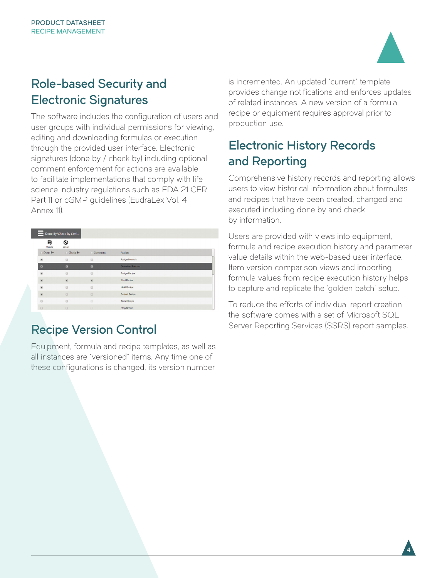

4

## Role-based Security and Electronic Signatures

The software includes the configuration of users and user groups with individual permissions for viewing, editing and downloading formulas or execution through the provided user interface. Electronic signatures (done by / check by) including optional comment enforcement for actions are available to facilitate implementations that comply with life science industry regulations such as FDA 21 CFR Part 11 or cGMP guidelines (EudraLex Vol. 4 Annex 11).

| Done By/Check By Setti                      |                                 |                                                                  |                       |  |
|---------------------------------------------|---------------------------------|------------------------------------------------------------------|-----------------------|--|
| Б<br>Update                                 | $\boldsymbol{\omega}$<br>Cancel |                                                                  |                       |  |
| Done By<br>n                                | □ Check By                      | Comment                                                          | Action                |  |
| $\otimes$                                   | 0                               | $\qquad \qquad \qquad \qquad \qquad \qquad \qquad \qquad \qquad$ | Assign Formula        |  |
| $\overline{a}$                              | $\blacksquare$                  | $\overline{z}$                                                   | Download Formula      |  |
| $\overline{\mathcal{L}}$                    | ⊟                               | ⊟                                                                | <b>Assign Recipe</b>  |  |
| $\overline{\mathcal{L}}$                    | $\omega$                        | $\overline{\mathcal{L}}$                                         | <b>Start Recipe</b>   |  |
| $\boxtimes$                                 | ₿                               | $\Box$                                                           | <b>Hold Recipe</b>    |  |
| $\omega$                                    | $\Box$                          | $\Box$                                                           | <b>Restart Recipe</b> |  |
| $\qquad \qquad \qquad \qquad \qquad \qquad$ | 0                               | 6                                                                | <b>Abort Recipe</b>   |  |
| $\Box$                                      | $\Box$                          | $\Box$                                                           | <b>Stop Recipe</b>    |  |

## Recipe Version Control

Equipment, formula and recipe templates, as well as all instances are "versioned" items. Any time one of these configurations is changed, its version number

is incremented. An updated "current" template provides change notifications and enforces updates of related instances. A new version of a formula, recipe or equipment requires approval prior to production use.

## Electronic History Records and Reporting

Comprehensive history records and reporting allows users to view historical information about formulas and recipes that have been created, changed and executed including done by and check by information.

Users are provided with views into equipment, formula and recipe execution history and parameter value details within the web-based user interface. Item version comparison views and importing formula values from recipe execution history helps to capture and replicate the 'golden batch' setup.

To reduce the efforts of individual report creation the software comes with a set of Microsoft SQL Server Reporting Services (SSRS) report samples.